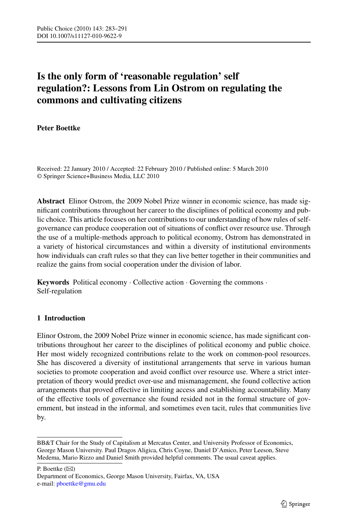# **Is the only form of 'reasonable regulation' self regulation?: Lessons from Lin Ostrom on regulating the commons and cultivating citizens**

**Peter Boettke**

Received: 22 January 2010 / Accepted: 22 February 2010 / Published online: 5 March 2010 © Springer Science+Business Media, LLC 2010

**Abstract** Elinor Ostrom, the 2009 Nobel Prize winner in economic science, has made significant contributions throughout her career to the disciplines of political economy and public choice. This article focuses on her contributions to our understanding of how rules of selfgovernance can produce cooperation out of situations of conflict over resource use. Through the use of a multiple-methods approach to political economy, Ostrom has demonstrated in a variety of historical circumstances and within a diversity of institutional environments how individuals can craft rules so that they can live better together in their communities and realize the gains from social cooperation under the division of labor.

**Keywords** Political economy · Collective action · Governing the commons · Self-regulation

## **1 Introduction**

Elinor Ostrom, the 2009 Nobel Prize winner in economic science, has made significant contributions throughout her career to the disciplines of political economy and public choice. Her most widely recognized contributions relate to the work on common-pool resources. She has discovered a diversity of institutional arrangements that serve in various human societies to promote cooperation and avoid conflict over resource use. Where a strict interpretation of theory would predict over-use and mismanagement, she found collective action arrangements that proved effective in limiting access and establishing accountability. Many of the effective tools of governance she found resided not in the formal structure of government, but instead in the informal, and sometimes even tacit, rules that communities live by.

P. Boettke  $(\boxtimes)$ Department of Economics, George Mason University, Fairfax, VA, USA

e-mail: [pboettke@gmu.edu](mailto:pboettke@gmu.edu)

BB&T Chair for the Study of Capitalism at Mercatus Center, and University Professor of Economics, George Mason University. Paul Dragos Aligica, Chris Coyne, Daniel D'Amico, Peter Leeson, Steve Medema, Mario Rizzo and Daniel Smith provided helpful comments. The usual caveat applies.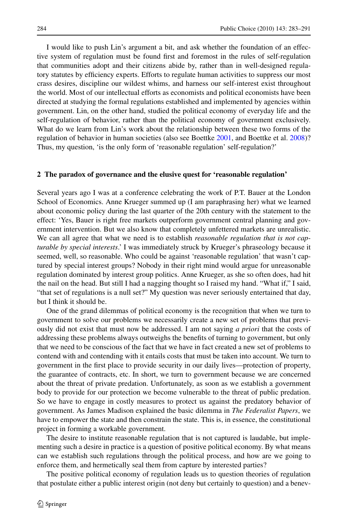I would like to push Lin's argument a bit, and ask whether the foundation of an effective system of regulation must be found first and foremost in the rules of self-regulation that communities adopt and their citizens abide by, rather than in well-designed regulatory statutes by efficiency experts. Efforts to regulate human activities to suppress our most crass desires, discipline our wildest whims, and harness our self-interest exist throughout the world. Most of our intellectual efforts as economists and political economists have been directed at studying the formal regulations established and implemented by agencies within government. Lin, on the other hand, studied the political economy of everyday life and the self-regulation of behavior, rather than the political economy of government exclusively. What do we learn from Lin's work about the relationship between these two forms of the regulation of behavior in human societies (also see Boettke [2001,](#page-7-0) and Boettke et al. [2008](#page-7-0))? Thus, my question, 'is the only form of 'reasonable regulation' self-regulation?'

#### **2 The paradox of governance and the elusive quest for 'reasonable regulation'**

Several years ago I was at a conference celebrating the work of P.T. Bauer at the London School of Economics. Anne Krueger summed up (I am paraphrasing her) what we learned about economic policy during the last quarter of the 20th century with the statement to the effect: 'Yes, Bauer is right free markets outperform government central planning and government intervention. But we also know that completely unfettered markets are unrealistic. We can all agree that what we need is to establish *reasonable regulation that is not capturable by special interests*.' I was immediately struck by Krueger's phraseology because it seemed, well, so reasonable. Who could be against 'reasonable regulation' that wasn't captured by special interest groups? Nobody in their right mind would argue for unreasonable regulation dominated by interest group politics. Anne Krueger, as she so often does, had hit the nail on the head. But still I had a nagging thought so I raised my hand. "What if," I said, "that set of regulations is a null set?" My question was never seriously entertained that day, but I think it should be.

One of the grand dilemmas of political economy is the recognition that when we turn to government to solve our problems we necessarily create a new set of problems that previously did not exist that must now be addressed. I am not saying *a priori* that the costs of addressing these problems always outweighs the benefits of turning to government, but only that we need to be conscious of the fact that we have in fact created a new set of problems to contend with and contending with it entails costs that must be taken into account. We turn to government in the first place to provide security in our daily lives—protection of property, the guarantee of contracts, etc. In short, we turn to government because we are concerned about the threat of private predation. Unfortunately, as soon as we establish a government body to provide for our protection we become vulnerable to the threat of public predation. So we have to engage in costly measures to protect us against the predatory behavior of government. As James Madison explained the basic dilemma in *The Federalist Papers*, we have to empower the state and then constrain the state. This is, in essence, the constitutional project in forming a workable government.

The desire to institute reasonable regulation that is not captured is laudable, but implementing such a desire in practice is a question of positive political economy. By what means can we establish such regulations through the political process, and how are we going to enforce them, and hermetically seal them from capture by interested parties?

The positive political economy of regulation leads us to question theories of regulation that postulate either a public interest origin (not deny but certainly to question) and a benev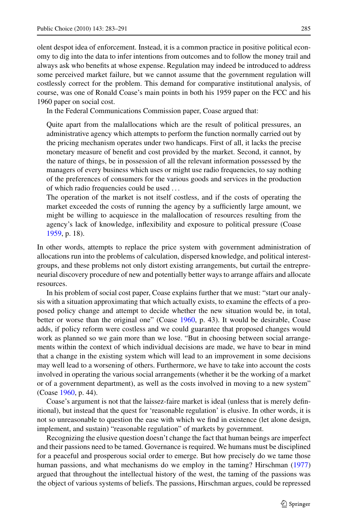olent despot idea of enforcement. Instead, it is a common practice in positive political economy to dig into the data to infer intentions from outcomes and to follow the money trail and always ask who benefits at whose expense. Regulation may indeed be introduced to address some perceived market failure, but we cannot assume that the government regulation will costlessly correct for the problem. This demand for comparative institutional analysis, of course, was one of Ronald Coase's main points in both his 1959 paper on the FCC and his 1960 paper on social cost.

In the Federal Communications Commission paper, Coase argued that:

Quite apart from the malallocations which are the result of political pressures, an administrative agency which attempts to perform the function normally carried out by the pricing mechanism operates under two handicaps. First of all, it lacks the precise monetary measure of benefit and cost provided by the market. Second, it cannot, by the nature of things, be in possession of all the relevant information possessed by the managers of every business which uses or might use radio frequencies, to say nothing of the preferences of consumers for the various goods and services in the production of which radio frequencies could be used *...*

The operation of the market is not itself costless, and if the costs of operating the market exceeded the costs of running the agency by a sufficiently large amount, we might be willing to acquiesce in the malallocation of resources resulting from the agency's lack of knowledge, inflexibility and exposure to political pressure (Coase [1959,](#page-7-0) p. 18).

In other words, attempts to replace the price system with government administration of allocations run into the problems of calculation, dispersed knowledge, and political interestgroups, and these problems not only distort existing arrangements, but curtail the entrepreneurial discovery procedure of new and potentially better ways to arrange affairs and allocate resources.

In his problem of social cost paper, Coase explains further that we must: "start our analysis with a situation approximating that which actually exists, to examine the effects of a proposed policy change and attempt to decide whether the new situation would be, in total, better or worse than the original one" (Coase [1960](#page-7-0), p. 43). It would be desirable, Coase adds, if policy reform were costless and we could guarantee that proposed changes would work as planned so we gain more than we lose. "But in choosing between social arrangements within the context of which individual decisions are made, we have to bear in mind that a change in the existing system which will lead to an improvement in some decisions may well lead to a worsening of others. Furthermore, we have to take into account the costs involved in operating the various social arrangements (whether it be the working of a market or of a government department), as well as the costs involved in moving to a new system" (Coase [1960](#page-7-0), p. 44).

Coase's argument is not that the laissez-faire market is ideal (unless that is merely definitional), but instead that the quest for 'reasonable regulation' is elusive. In other words, it is not so unreasonable to question the ease with which we find in existence (let alone design, implement, and sustain) "reasonable regulation" of markets by government.

Recognizing the elusive question doesn't change the fact that human beings are imperfect and their passions need to be tamed. Governance is required. We humans must be disciplined for a peaceful and prosperous social order to emerge. But how precisely do we tame those human passions, and what mechanisms do we employ in the taming? Hirschman [\(1977](#page-7-0)) argued that throughout the intellectual history of the west, the taming of the passions was the object of various systems of beliefs. The passions, Hirschman argues, could be repressed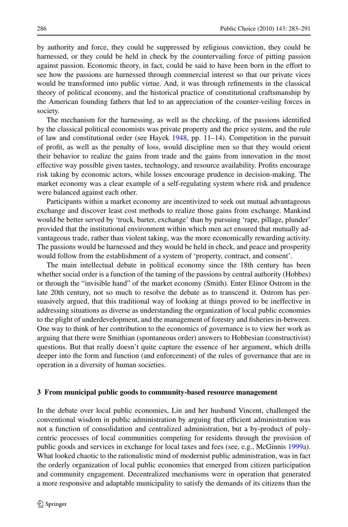by authority and force, they could be suppressed by religious conviction, they could be harnessed, or they could be held in check by the countervailing force of pitting passion against passion. Economic theory, in fact, could be said to have been born in the effort to see how the passions are harnessed through commercial interest so that our private vices would be transformed into public virtue. And, it was through refinements in the classical theory of political economy, and the historical practice of constitutional craftsmanship by the American founding fathers that led to an appreciation of the counter-veiling forces in society.

The mechanism for the harnessing, as well as the checking, of the passions identified by the classical political economists was private property and the price system, and the rule of law and constitutional order (see Hayek [1948](#page-7-0), pp. 11–14). Competition in the pursuit of profit, as well as the penalty of loss, would discipline men so that they would orient their behavior to realize the gains from trade and the gains from innovation in the most effective way possible given tastes, technology, and resource availability. Profits encourage risk taking by economic actors, while losses encourage prudence in decision-making. The market economy was a clear example of a self-regulating system where risk and prudence were balanced against each other.

Participants within a market economy are incentivized to seek out mutual advantageous exchange and discover least cost methods to realize those gains from exchange. Mankind would be better served by 'truck, barter, exchange' than by pursuing 'rape, pillage, plunder' provided that the institutional environment within which men act ensured that mutually advantageous trade, rather than violent taking, was the more economically rewarding activity. The passions would be harnessed and they would be held in check, and peace and prosperity would follow from the establishment of a system of 'property, contract, and consent'.

The main intellectual debate in political economy since the 18th century has been whether social order is a function of the taming of the passions by central authority (Hobbes) or through the "invisible hand" of the market economy (Smith). Enter Elinor Ostrom in the late 20th century, not so much to resolve the debate as to transcend it. Ostrom has persuasively argued, that this traditional way of looking at things proved to be ineffective in addressing situations as diverse as understanding the organization of local public economies to the plight of underdevelopment, and the management of forestry and fisheries in-between. One way to think of her contribution to the economics of governance is to view her work as arguing that there were Smithian (spontaneous order) answers to Hobbesian (constructivist) questions. But that really doesn't quite capture the essence of her argument, which drills deeper into the form and function (and enforcement) of the rules of governance that are in operation in a diversity of human societies.

#### **3 From municipal public goods to community-based resource management**

In the debate over local public economies, Lin and her husband Vincent, challenged the conventional wisdom in public administration by arguing that efficient administration was not a function of consolidation and centralized administration, but a by-product of polycentric processes of local communities competing for residents through the provision of public goods and services in exchange for local taxes and fees (see, e.g., McGinnis [1999a](#page-7-0)). What looked chaotic to the rationalistic mind of modernist public administration, was in fact the orderly organization of local public economies that emerged from citizen participation and community engagement. Decentralized mechanisms were in operation that generated a more responsive and adaptable municipality to satisfy the demands of its citizens than the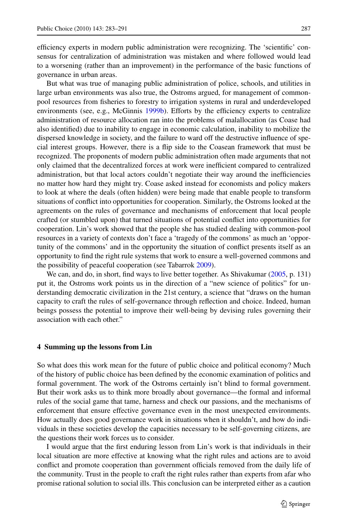efficiency experts in modern public administration were recognizing. The 'scientific' consensus for centralization of administration was mistaken and where followed would lead to a worsening (rather than an improvement) in the performance of the basic functions of governance in urban areas.

But what was true of managing public administration of police, schools, and utilities in large urban environments was also true, the Ostroms argued, for management of commonpool resources from fisheries to forestry to irrigation systems in rural and underdeveloped environments (see, e.g., McGinnis [1999b](#page-8-0)). Efforts by the efficiency experts to centralize administration of resource allocation ran into the problems of malallocation (as Coase had also identified) due to inability to engage in economic calculation, inability to mobilize the dispersed knowledge in society, and the failure to ward off the destructive influence of special interest groups. However, there is a flip side to the Coasean framework that must be recognized. The proponents of modern public administration often made arguments that not only claimed that the decentralized forces at work were inefficient compared to centralized administration, but that local actors couldn't negotiate their way around the inefficiencies no matter how hard they might try. Coase asked instead for economists and policy makers to look at where the deals (often hidden) were being made that enable people to transform situations of conflict into opportunities for cooperation. Similarly, the Ostroms looked at the agreements on the rules of governance and mechanisms of enforcement that local people crafted (or stumbled upon) that turned situations of potential conflict into opportunities for cooperation. Lin's work showed that the people she has studied dealing with common-pool resources in a variety of contexts don't face a 'tragedy of the commons' as much an 'opportunity of the commons' and in the opportunity the situation of conflict presents itself as an opportunity to find the right rule systems that work to ensure a well-governed commons and the possibility of peaceful cooperation (see Tabarrok [2009](#page-8-0)).

We can, and do, in short, find ways to live better together. As Shivakumar [\(2005](#page-8-0), p. 131) put it, the Ostroms work points us in the direction of a "new science of politics" for understanding democratic civilization in the 21st century, a science that "draws on the human capacity to craft the rules of self-governance through reflection and choice. Indeed, human beings possess the potential to improve their well-being by devising rules governing their association with each other."

#### **4 Summing up the lessons from Lin**

So what does this work mean for the future of public choice and political economy? Much of the history of public choice has been defined by the economic examination of politics and formal government. The work of the Ostroms certainly isn't blind to formal government. But their work asks us to think more broadly about governance—the formal and informal rules of the social game that tame, harness and check our passions, and the mechanisms of enforcement that ensure effective governance even in the most unexpected environments. How actually does good governance work in situations when it shouldn't, and how do individuals in these societies develop the capacities necessary to be self-governing citizens, are the questions their work forces us to consider.

I would argue that the first enduring lesson from Lin's work is that individuals in their local situation are more effective at knowing what the right rules and actions are to avoid conflict and promote cooperation than government officials removed from the daily life of the community. Trust in the people to craft the right rules rather than experts from afar who promise rational solution to social ills. This conclusion can be interpreted either as a caution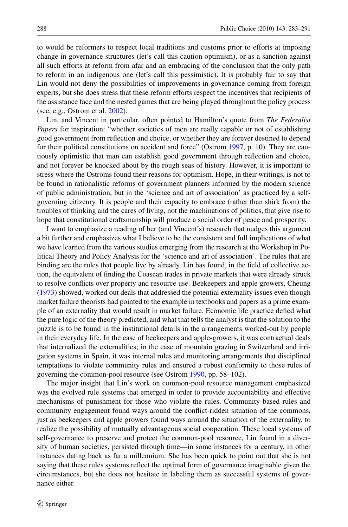to would be reformers to respect local traditions and customs prior to efforts at imposing change in governance structures (let's call this caution optimism), or as a sanction against all such efforts at reform from afar and an embracing of the conclusion that the only path to reform in an indigenous one (let's call this pessimistic). It is probably fair to say that Lin would not deny the possibilities of improvements in governance coming from foreign experts, but she does stress that these reform efforts respect the incentives that recipients of the assistance face and the nested games that are being played throughout the policy process (see, e.g., Ostrom et al. [2002\)](#page-8-0).

Lin, and Vincent in particular, often pointed to Hamilton's quote from *The Federalist Papers* for inspiration: "whether societies of men are really capable or not of establishing good government from reflection and choice, or whether they are forever destined to depend for their political constitutions on accident and force" (Ostrom [1997,](#page-8-0) p. 10). They are cautiously optimistic that man can establish good government through reflection and choice, and not forever be knocked about by the rough seas of history. However, it is important to stress where the Ostroms found their reasons for optimism. Hope, in their writings, is not to be found in rationalistic reforms of government planners informed by the modern science of public administration, but in the 'science and art of association' as practiced by a selfgoverning citizenry. It is people and their capacity to embrace (rather than shirk from) the troubles of thinking and the cares of living, not the machinations of politics, that give rise to hope that constitutional craftsmanship will produce a social order of peace and prosperity.

I want to emphasize a reading of her (and Vincent's) research that nudges this argument a bit further and emphasizes what I believe to be the consistent and full implications of what we have learned from the various studies emerging from the research at the Workshop in Political Theory and Policy Analysis for the 'science and art of association'. The rules that are binding are the rules that people live by already. Lin has found, in the field of collective action, the equivalent of finding the Coasean trades in private markets that were already struck to resolve conflicts over property and resource use. Beekeepers and apple growers, Cheung ([1973\)](#page-7-0) showed, worked out deals that addressed the potential externality issues even though market failure theorists had pointed to the example in textbooks and papers as a prime example of an externality that would result in market failure. Economic life practice defied what the pure logic of the theory predicted, and what that tells the analyst is that the solution to the puzzle is to be found in the institutional details in the arrangements worked-out by people in their everyday life. In the case of beekeepers and apple-growers, it was contractual deals that internalized the externalities; in the case of mountain grazing in Switzerland and irrigation systems in Spain, it was internal rules and monitoring arrangements that disciplined temptations to violate community rules and ensured a robust conformity to those rules of governing the common-pool resource (see Ostrom [1990](#page-8-0), pp. 58–102).

The major insight that Lin's work on common-pool resource management emphasized was the evolved rule systems that emerged in order to provide accountability and effective mechanisms of punishment for those who violate the rules. Community based rules and community engagement found ways around the conflict-ridden situation of the commons, just as beekeepers and apple growers found ways around the situation of the externality, to realize the possibility of mutually advantageous social cooperation. These local systems of self-governance to preserve and protect the common-pool resource, Lin found in a diversity of human societies, persisted through time—in some instances for a century, in other instances dating back as far a millennium. She has been quick to point out that she is not saying that these rules systems reflect the optimal form of governance imaginable given the circumstances, but she does not hesitate in labeling them as successful systems of governance either.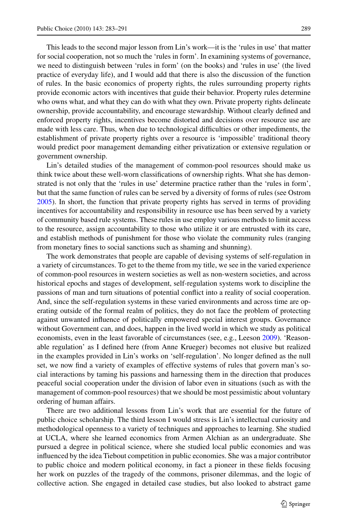This leads to the second major lesson from Lin's work—it is the 'rules in use' that matter for social cooperation, not so much the 'rules in form'. In examining systems of governance, we need to distinguish between 'rules in form' (on the books) and 'rules in use' (the lived practice of everyday life), and I would add that there is also the discussion of the function of rules. In the basic economics of property rights, the rules surrounding property rights provide economic actors with incentives that guide their behavior. Property rules determine who owns what, and what they can do with what they own. Private property rights delineate ownership, provide accountability, and encourage stewardship. Without clearly defined and enforced property rights, incentives become distorted and decisions over resource use are made with less care. Thus, when due to technological difficulties or other impediments, the establishment of private property rights over a resource is 'impossible' traditional theory would predict poor management demanding either privatization or extensive regulation or government ownership.

Lin's detailed studies of the management of common-pool resources should make us think twice about these well-worn classifications of ownership rights. What she has demonstrated is not only that the 'rules in use' determine practice rather than the 'rules in form', but that the same function of rules can be served by a diversity of forms of rules (see Ostrom [2005\)](#page-8-0). In short, the function that private property rights has served in terms of providing incentives for accountability and responsibility in resource use has been served by a variety of community based rule systems. These rules in use employ various methods to limit access to the resource, assign accountability to those who utilize it or are entrusted with its care, and establish methods of punishment for those who violate the community rules (ranging from monetary fines to social sanctions such as shaming and shunning).

The work demonstrates that people are capable of devising systems of self-regulation in a variety of circumstances. To get to the theme from my title, we see in the varied experience of common-pool resources in western societies as well as non-western societies, and across historical epochs and stages of development, self-regulation systems work to discipline the passions of man and turn situations of potential conflict into a reality of social cooperation. And, since the self-regulation systems in these varied environments and across time are operating outside of the formal realm of politics, they do not face the problem of protecting against unwanted influence of politically empowered special interest groups. Governance without Government can, and does, happen in the lived world in which we study as political economists, even in the least favorable of circumstances (see, e.g., Leeson [2009](#page-7-0)). 'Reasonable regulation' as I defined here (from Anne Krueger) becomes not elusive but realized in the examples provided in Lin's works on 'self-regulation'. No longer defined as the null set, we now find a variety of examples of effective systems of rules that govern man's social interactions by taming his passions and harnessing them in the direction that produces peaceful social cooperation under the division of labor even in situations (such as with the management of common-pool resources) that we should be most pessimistic about voluntary ordering of human affairs.

There are two additional lessons from Lin's work that are essential for the future of public choice scholarship. The third lesson I would stress is Lin's intellectual curiosity and methodological openness to a variety of techniques and approaches to learning. She studied at UCLA, where she learned economics from Armen Alchian as an undergraduate. She pursued a degree in political science, where she studied local public economies and was influenced by the idea Tiebout competition in public economies. She was a major contributor to public choice and modern political economy, in fact a pioneer in these fields focusing her work on puzzles of the tragedy of the commons, prisoner dilemmas, and the logic of collective action. She engaged in detailed case studies, but also looked to abstract game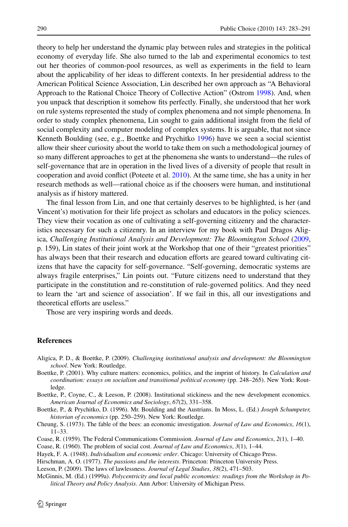<span id="page-7-0"></span>theory to help her understand the dynamic play between rules and strategies in the political economy of everyday life. She also turned to the lab and experimental economics to test out her theories of common-pool resources, as well as experiments in the field to learn about the applicability of her ideas to different contexts. In her presidential address to the American Political Science Association, Lin described her own approach as "A Behavioral Approach to the Rational Choice Theory of Collective Action" (Ostrom [1998\)](#page-8-0). And, when you unpack that description it somehow fits perfectly. Finally, she understood that her work on rule systems represented the study of complex phenomena and not simple phenomena. In order to study complex phenomena, Lin sought to gain additional insight from the field of social complexity and computer modeling of complex systems. It is arguable, that not since Kenneth Boulding (see, e.g., Boettke and Prychitko 1996) have we seen a social scientist allow their sheer curiosity about the world to take them on such a methodological journey of so many different approaches to get at the phenomena she wants to understand—the rules of self-governance that are in operation in the lived lives of a diversity of people that result in cooperation and avoid conflict (Poteete et al. [2010](#page-8-0)). At the same time, she has a unity in her research methods as well—rational choice as if the choosers were human, and institutional analysis as if history mattered.

The final lesson from Lin, and one that certainly deserves to be highlighted, is her (and Vincent's) motivation for their life project as scholars and educators in the policy sciences. They view their vocation as one of cultivating a self-governing citizenry and the characteristics necessary for such a citizenry. In an interview for my book with Paul Dragos Aligica, *Challenging Institutional Analysis and Development: The Bloomington School* (2009, p. 159), Lin states of their joint work at the Workshop that one of their "greatest priorities" has always been that their research and education efforts are geared toward cultivating citizens that have the capacity for self-governance. "Self-governing, democratic systems are always fragile enterprises," Lin points out. "Future citizens need to understand that they participate in the constitution and re-constitution of rule-governed politics. And they need to learn the 'art and science of association'. If we fail in this, all our investigations and theoretical efforts are useless."

Those are very inspiring words and deeds.

### **References**

- Aligica, P. D., & Boettke, P. (2009). *Challenging institutional analysis and development: the Bloomington school*. New York: Routledge.
- Boettke, P. (2001). Why culture matters: economics, politics, and the imprint of history. In *Calculation and coordination: essays on socialism and transitional political economy* (pp. 248–265). New York: Routledge.

Boettke, P., Coyne, C., & Leeson, P. (2008). Institutional stickiness and the new development economics. *American Journal of Economics and Sociology*, *67*(2), 331–358.

Boettke, P., & Prychitko, D. (1996). Mr. Boulding and the Austrians. In Moss, L. (Ed.) *Joseph Schumpeter, historian of economics* (pp. 250–259). New York: Routledge.

- Cheung, S. (1973). The fable of the bees: an economic investigation. *Journal of Law and Economics*, *16*(1), 11–33.
- Coase, R. (1959). The Federal Communications Commission. *Journal of Law and Economics*, *2*(1), 1–40.
- Coase, R. (1960). The problem of social cost. *Journal of Law and Economics*, *3*(1), 1–44.
- Hayek, F. A. (1948). *Individualism and economic order*. Chicago: University of Chicago Press.
- Hirschman, A. O. (1977). *The passions and the interests*. Princeton: Princeton University Press.

Leeson, P. (2009). The laws of lawlessness. *Journal of Legal Studies*, *38*(2), 471–503.

McGinnis, M. (Ed.) (1999a). *Polycentricity and local public economies: readings from the Workshop in Political Theory and Policy Analysis*. Ann Arbor: University of Michigan Press.